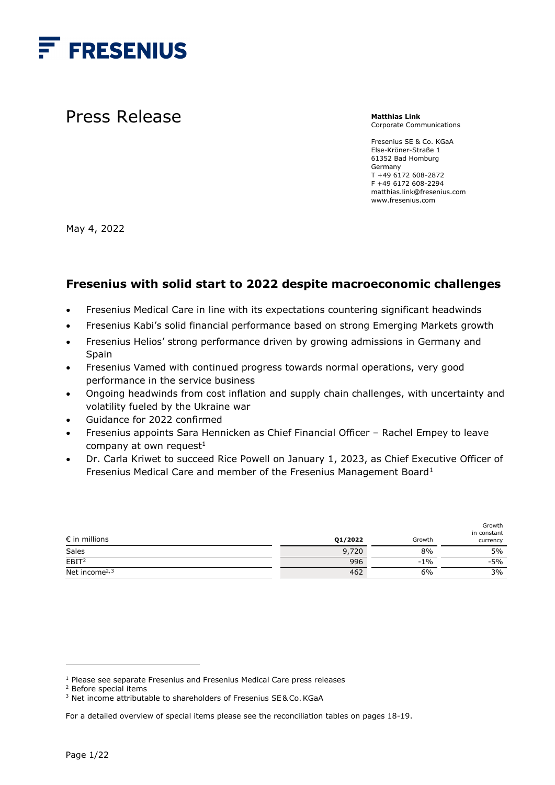

Press Release

**Matthias Link** Corporate Communications

Fresenius SE & Co. KGaA Else-Kröner-Straße 1 61352 Bad Homburg Germany T +49 6172 608-2872 F +49 6172 608-2294 matthias.link@fresenius.com www.fresenius.com

May 4, 2022

## **Fresenius with solid start to 2022 despite macroeconomic challenges**

- Fresenius Medical Care in line with its expectations countering significant headwinds
- Fresenius Kabi's solid financial performance based on strong Emerging Markets growth
- Fresenius Helios' strong performance driven by growing admissions in Germany and Spain
- Fresenius Vamed with continued progress towards normal operations, very good performance in the service business
- Ongoing headwinds from cost inflation and supply chain challenges, with uncertainty and volatility fueled by the Ukraine war
- Guidance for 2022 confirmed
- Fresenius appoints Sara Hennicken as Chief Financial Officer Rachel Empey to leave company at own request<sup>1</sup>
- Dr. Carla Kriwet to succeed Rice Powell on January 1, 2023, as Chief Executive Officer of Fresenius Medical Care and member of the Fresenius Management Board<sup>[1](#page-0-0)</sup>

| $\epsilon$ in millions | 01/2022 | Growth | Growth<br>in constant<br>currency |
|------------------------|---------|--------|-----------------------------------|
| Sales                  | 9,720   | 8%     | 5%                                |
| EBIT <sup>2</sup>      | 996     | $-1\%$ | $-5%$                             |
| Net income $2,3$       | 462     | 6%     | 3%                                |

<sup>&</sup>lt;sup>1</sup> Please see separate Fresenius and Fresenius Medical Care press releases

<span id="page-0-1"></span><span id="page-0-0"></span><sup>2</sup> Before special items

<span id="page-0-2"></span><sup>&</sup>lt;sup>3</sup> Net income attributable to shareholders of Fresenius SE& Co. KGaA

For a detailed overview of special items please see the reconciliation tables on pages 18-19.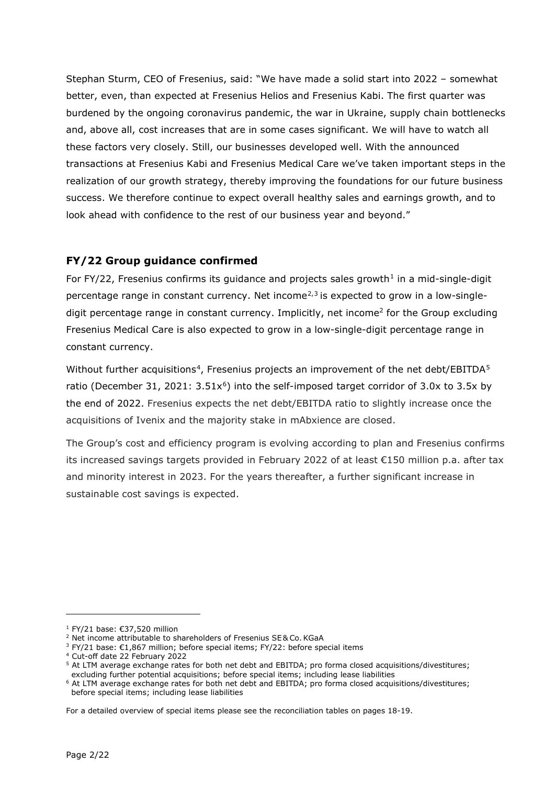Stephan Sturm, CEO of Fresenius, said: "We have made a solid start into 2022 – somewhat better, even, than expected at Fresenius Helios and Fresenius Kabi. The first quarter was burdened by the ongoing coronavirus pandemic, the war in Ukraine, supply chain bottlenecks and, above all, cost increases that are in some cases significant. We will have to watch all these factors very closely. Still, our businesses developed well. With the announced transactions at Fresenius Kabi and Fresenius Medical Care we've taken important steps in the realization of our growth strategy, thereby improving the foundations for our future business success. We therefore continue to expect overall healthy sales and earnings growth, and to look ahead with confidence to the rest of our business year and beyond."

## **FY/22 Group guidance confirmed**

For FY/22, Fresenius confirms its guidance and projects sales growth<sup>[1](#page-1-0)</sup> in a mid-single-digit percentage range in constant currency. Net income<sup> $2,3$  $2,3$  $2,3$ </sup> is expected to grow in a low-singledigit percentage range in constant currency. Implicitly, net income<sup>2</sup> for the Group excluding Fresenius Medical Care is also expected to grow in a low-single-digit percentage range in constant currency.

Without further acquisitions<sup>[4](#page-1-3)</sup>, Fresenius projects an improvement of the net debt/EBITDA<sup>[5](#page-1-4)</sup> ratio (December 31, 2021:  $3.51x^6$  $3.51x^6$ ) into the self-imposed target corridor of 3.0x to 3.5x by the end of 2022. Fresenius expects the net debt/EBITDA ratio to slightly increase once the acquisitions of Ivenix and the majority stake in mAbxience are closed.

The Group's cost and efficiency program is evolving according to plan and Fresenius confirms its increased savings targets provided in February 2022 of at least €150 million p.a. after tax and minority interest in 2023. For the years thereafter, a further significant increase in sustainable cost savings is expected.

<sup>1</sup> FY/21 base: €37,520 million

<span id="page-1-1"></span><span id="page-1-0"></span><sup>&</sup>lt;sup>2</sup> Net income attributable to shareholders of Fresenius SE& Co. KGaA

<span id="page-1-2"></span><sup>&</sup>lt;sup>3</sup> FY/21 base: €1,867 million; before special items; FY/22: before special items

<span id="page-1-3"></span><sup>4</sup> Cut-off date 22 February 2022

<span id="page-1-4"></span><sup>&</sup>lt;sup>5</sup> At LTM average exchange rates for both net debt and EBITDA; pro forma closed acquisitions/divestitures; excluding further potential acquisitions; before special items; including lease liabilities

<span id="page-1-5"></span><sup>&</sup>lt;sup>6</sup> At LTM average exchange rates for both net debt and EBITDA; pro forma closed acquisitions/divestitures; before special items; including lease liabilities

For a detailed overview of special items please see the reconciliation tables on pages 18-19.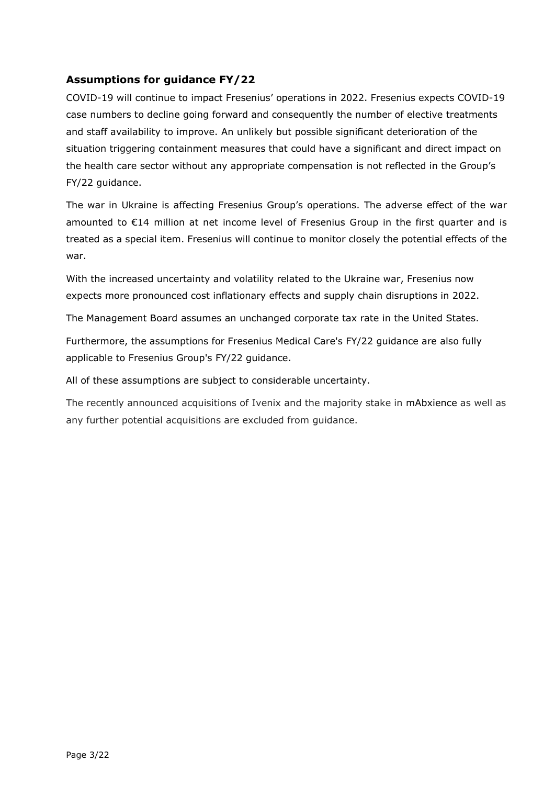## **Assumptions for guidance FY/22**

COVID-19 will continue to impact Fresenius' operations in 2022. Fresenius expects COVID-19 case numbers to decline going forward and consequently the number of elective treatments and staff availability to improve. An unlikely but possible significant deterioration of the situation triggering containment measures that could have a significant and direct impact on the health care sector without any appropriate compensation is not reflected in the Group's FY/22 guidance.

The war in Ukraine is affecting Fresenius Group's operations. The adverse effect of the war amounted to €14 million at net income level of Fresenius Group in the first quarter and is treated as a special item. Fresenius will continue to monitor closely the potential effects of the war.

With the increased uncertainty and volatility related to the Ukraine war, Fresenius now expects more pronounced cost inflationary effects and supply chain disruptions in 2022.

The Management Board assumes an unchanged corporate tax rate in the United States.

Furthermore, the assumptions for Fresenius Medical Care's FY/22 guidance are also fully applicable to Fresenius Group's FY/22 guidance.

All of these assumptions are subject to considerable uncertainty.

The recently announced acquisitions of Ivenix and the majority stake in mAbxience as well as any further potential acquisitions are excluded from guidance.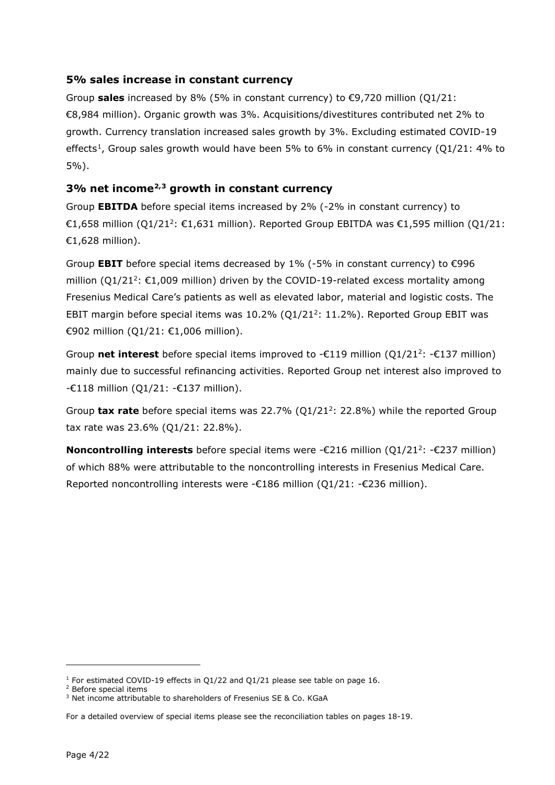#### **5% sales increase in constant currency**

Group **sales** increased by 8% (5% in constant currency) to €9,720 million (Q1/21: €8,984 million). Organic growth was 3%. Acquisitions/divestitures contributed net 2% to growth. Currency translation increased sales growth by 3%. Excluding estimated COVID-19 effects<sup>1</sup>, Group sales growth would have been 5% to 6% in constant currency (Q1/21: 4% to 5%).

### **3% net incom[e2](#page-3-1),[3](#page-3-2) growth in constant currency**

Group **EBITDA** before special items increased by 2% (-2% in constant currency) to €1,658 million (Q1/21<sup>2</sup>: €1,631 million). Reported Group EBITDA was €1,595 million (Q1/21: €1,628 million).

Group **EBIT** before special items decreased by 1% (-5% in constant currency) to €996 million ( $Q1/21^2$ :  $E1,009$  million) driven by the COVID-19-related excess mortality among Fresenius Medical Care's patients as well as elevated labor, material and logistic costs. The EBIT margin before special items was  $10.2\%$  (Q1/21<sup>2</sup>: 11.2%). Reported Group EBIT was €902 million (Q1/21: €1,006 million).

Group **net interest** before special items improved to -€119 million (Q1/212: -€137 million) mainly due to successful refinancing activities. Reported Group net interest also improved to  $-€118$  million (Q1/21:  $-€137$  million).

Group **tax rate** before special items was 22.7% (Q1/212: 22.8%) while the reported Group tax rate was 23.6% (Q1/21: 22.8%).

**Noncontrolling interests** before special items were -€216 million (Q1/21<sup>2</sup>: -€237 million) of which 88% were attributable to the noncontrolling interests in Fresenius Medical Care. Reported noncontrolling interests were -€186 million (Q1/21: -€236 million).

<span id="page-3-0"></span> $1$  For estimated COVID-19 effects in Q1/22 and Q1/21 please see table on page 16.

<span id="page-3-1"></span><sup>2</sup> Before special items

<span id="page-3-2"></span><sup>&</sup>lt;sup>3</sup> Net income attributable to shareholders of Fresenius SE & Co. KGaA

For a detailed overview of special items please see the reconciliation tables on pages 18-19.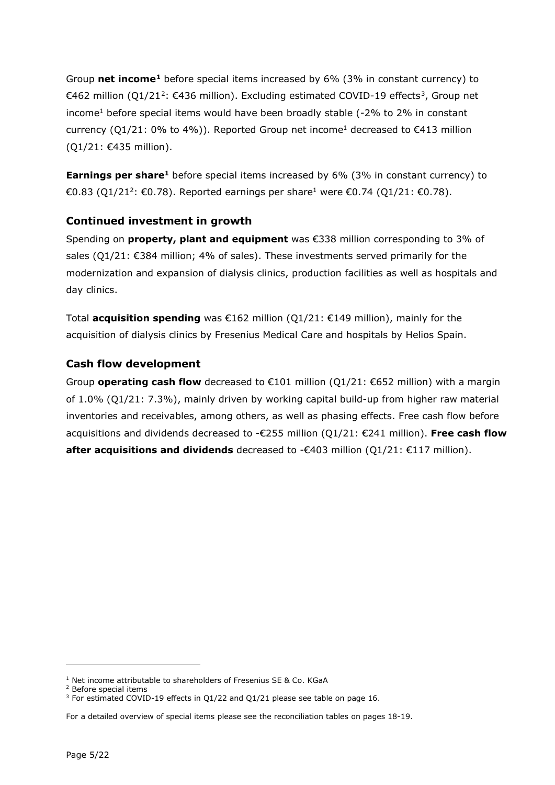Group **net income[1](#page-4-0)** before special items increased by 6% (3% in constant currency) to €46[2](#page-4-1) million (Q1/21<sup>2</sup>: €4[3](#page-4-2)6 million). Excluding estimated COVID-19 effects<sup>3</sup>, Group net income<sup>1</sup> before special items would have been broadly stable (-2% to 2% in constant currency ( $Q1/21: 0\%$  to 4%)). Reported Group net income<sup>1</sup> decreased to  $E413$  million (Q1/21: €435 million).

**Earnings per share<sup>1</sup>** before special items increased by 6% (3% in constant currency) to €0.83 (01/21<sup>2</sup>: €0.78). Reported earnings per share<sup>1</sup> were €0.74 (01/21: €0.78).

### **Continued investment in growth**

Spending on **property, plant and equipment** was €338 million corresponding to 3% of sales ( $Q1/21$ :  $E384$  million; 4% of sales). These investments served primarily for the modernization and expansion of dialysis clinics, production facilities as well as hospitals and day clinics.

Total **acquisition spending** was €162 million (Q1/21: €149 million), mainly for the acquisition of dialysis clinics by Fresenius Medical Care and hospitals by Helios Spain.

#### **Cash flow development**

Group **operating cash flow** decreased to €101 million (Q1/21: €652 million) with a margin of 1.0% (Q1/21: 7.3%), mainly driven by working capital build-up from higher raw material inventories and receivables, among others, as well as phasing effects. Free cash flow before acquisitions and dividends decreased to -€255 million (Q1/21: €241 million). **Free cash flow after acquisitions and dividends** decreased to -€403 million (Q1/21: €117 million).

<span id="page-4-0"></span><sup>&</sup>lt;sup>1</sup> Net income attributable to shareholders of Fresenius SE & Co. KGaA

<span id="page-4-1"></span><sup>2</sup> Before special items

<span id="page-4-2"></span><sup>&</sup>lt;sup>3</sup> For estimated COVID-19 effects in Q1/22 and Q1/21 please see table on page 16.

For a detailed overview of special items please see the reconciliation tables on pages 18-19.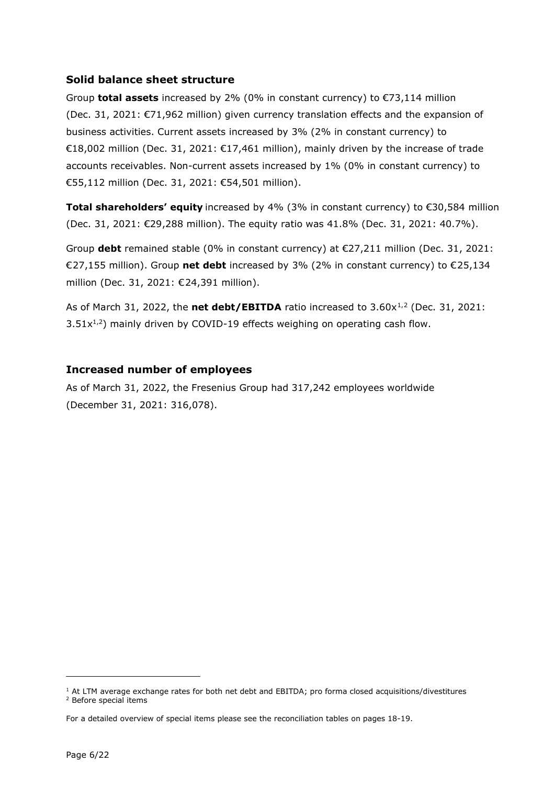#### **Solid balance sheet structure**

Group **total assets** increased by 2% (0% in constant currency) to €73,114 million (Dec. 31, 2021: €71,962 million) given currency translation effects and the expansion of business activities. Current assets increased by 3% (2% in constant currency) to €18,002 million (Dec. 31, 2021: €17,461 million), mainly driven by the increase of trade accounts receivables. Non-current assets increased by 1% (0% in constant currency) to €55,112 million (Dec. 31, 2021: €54,501 million).

**Total shareholders' equity** increased by 4% (3% in constant currency) to €30,584 million (Dec. 31, 2021: €29,288 million). The equity ratio was 41.8% (Dec. 31, 2021: 40.7%).

Group **debt** remained stable (0% in constant currency) at €27,211 million (Dec. 31, 2021: €27,155 million). Group **net debt** increased by 3% (2% in constant currency) to €25,134 million (Dec. 31, 2021: €24,391 million).

As of March 3[1](#page-5-0), [2](#page-5-1)022, the **net debt/EBITDA** ratio increased to  $3.60x^{1/2}$  (Dec. 31, 2021:  $3.51x^{1,2}$ ) mainly driven by COVID-19 effects weighing on operating cash flow.

### **Increased number of employees**

As of March 31, 2022, the Fresenius Group had 317,242 employees worldwide (December 31, 2021: 316,078).

<span id="page-5-1"></span><span id="page-5-0"></span> $1$  At LTM average exchange rates for both net debt and EBITDA; pro forma closed acquisitions/divestitures <sup>2</sup> Before special items

For a detailed overview of special items please see the reconciliation tables on pages 18-19.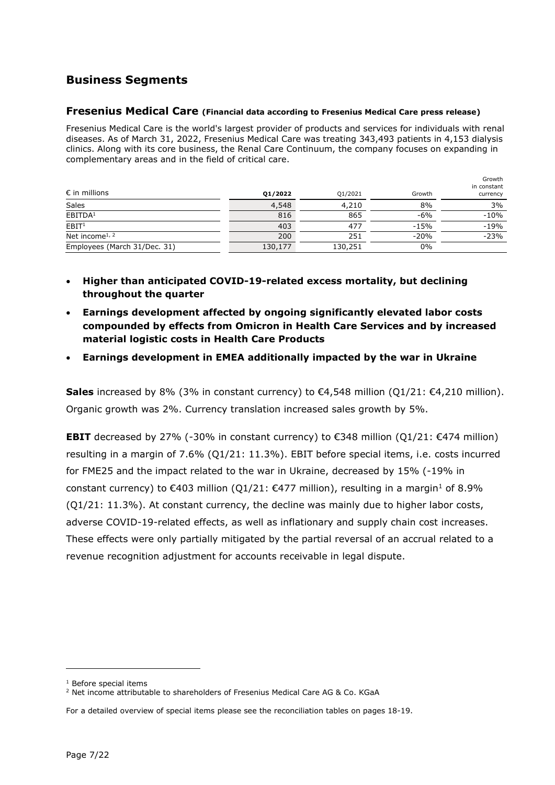## **Business Segments**

#### **Fresenius Medical Care (Financial data according to Fresenius Medical Care press release)**

Fresenius Medical Care is the world's largest provider of products and services for individuals with renal diseases. As of March 31, 2022, Fresenius Medical Care was treating 343,493 patients in 4,153 dialysis clinics. Along with its core business, the Renal Care Continuum, the company focuses on expanding in complementary areas and in the field of critical care.

| $\epsilon$ in millions       | 01/2022 | Q1/2021 | Growth | Growth<br>in constant<br>currency |
|------------------------------|---------|---------|--------|-----------------------------------|
| Sales                        | 4,548   | 4,210   | 8%     | 3%                                |
| EBITDA <sup>1</sup>          | 816     | 865     | $-6%$  | $-10%$                            |
| EBIT <sup>1</sup>            | 403     | 477     | $-15%$ | $-19%$                            |
| Net income <sup>1, 2</sup>   | 200     | 251     | $-20%$ | $-23%$                            |
| Employees (March 31/Dec. 31) | 130,177 | 130,251 | 0%     |                                   |

- **Higher than anticipated COVID-19-related excess mortality, but declining throughout the quarter**
- **Earnings development affected by ongoing significantly elevated labor costs compounded by effects from Omicron in Health Care Services and by increased material logistic costs in Health Care Products**
- **Earnings development in EMEA additionally impacted by the war in Ukraine**

**Sales** increased by 8% (3% in constant currency) to €4,548 million (Q1/21: €4,210 million). Organic growth was 2%. Currency translation increased sales growth by 5%.

**EBIT** decreased by 27% (-30% in constant currency) to €348 million (O1/21: €474 million) resulting in a margin of 7.6% (Q1/21: 11.3%). EBIT before special items, i.e. costs incurred for FME25 and the impact related to the war in Ukraine, decreased by 15% (-19% in constant currency) to  $\epsilon$ 403 million (Q1/21:  $\epsilon$ 477 million), resulting in a margin<sup>1</sup> of 8.9% (Q1/21: 11.3%). At constant currency, the decline was mainly due to higher labor costs, adverse COVID-19-related effects, as well as inflationary and supply chain cost increases. These effects were only partially mitigated by the partial reversal of an accrual related to a revenue recognition adjustment for accounts receivable in legal dispute.

<span id="page-6-0"></span><sup>1</sup> Before special items

<span id="page-6-1"></span> $2$  Net income attributable to shareholders of Fresenius Medical Care AG & Co. KGaA

For a detailed overview of special items please see the reconciliation tables on pages 18-19.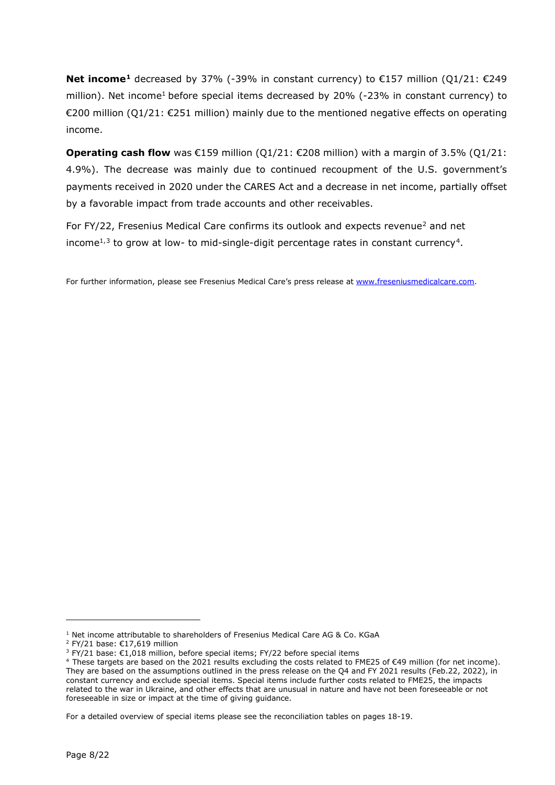**Net income[1](#page-7-0)** decreased by 37% (-39% in constant currency) to €157 million (Q1/21: €249 million). Net income<sup>1</sup> before special items decreased by 20% (-23% in constant currency) to €200 million (Q1/21: €251 million) mainly due to the mentioned negative effects on operating income.

**Operating cash flow** was €159 million (Q1/21: €208 million) with a margin of 3.5% (Q1/21: 4.9%). The decrease was mainly due to continued recoupment of the U.S. government's payments received in 2020 under the CARES Act and a decrease in net income, partially offset by a favorable impact from trade accounts and other receivables.

For FY/22, Fresenius Medical Care confirms its outlook and expects revenue<sup>2</sup> and net income<sup>1,[3](#page-7-2)</sup> to grow at low- to mid-single-digit percentage rates in constant currency<sup>4</sup>.

For further information, please see Fresenius Medical Care's press release at [www.freseniusmedicalcare.com.](http://www.freseniusmedicalcare.com/)

For a detailed overview of special items please see the reconciliation tables on pages 18-19.

 $1$  Net income attributable to shareholders of Fresenius Medical Care AG & Co. KGaA

<span id="page-7-1"></span><span id="page-7-0"></span><sup>2</sup> FY/21 base: €17,619 million

<sup>&</sup>lt;sup>3</sup> FY/21 base: €1,018 million, before special items; FY/22 before special items

<span id="page-7-3"></span><span id="page-7-2"></span><sup>4</sup> These targets are based on the 2021 results excluding the costs related to FME25 of €49 million (for net income). They are based on the assumptions outlined in the press release on the Q4 and FY 2021 results (Feb.22, 2022), in constant currency and exclude special items. Special items include further costs related to FME25, the impacts related to the war in Ukraine, and other effects that are unusual in nature and have not been foreseeable or not foreseeable in size or impact at the time of giving guidance.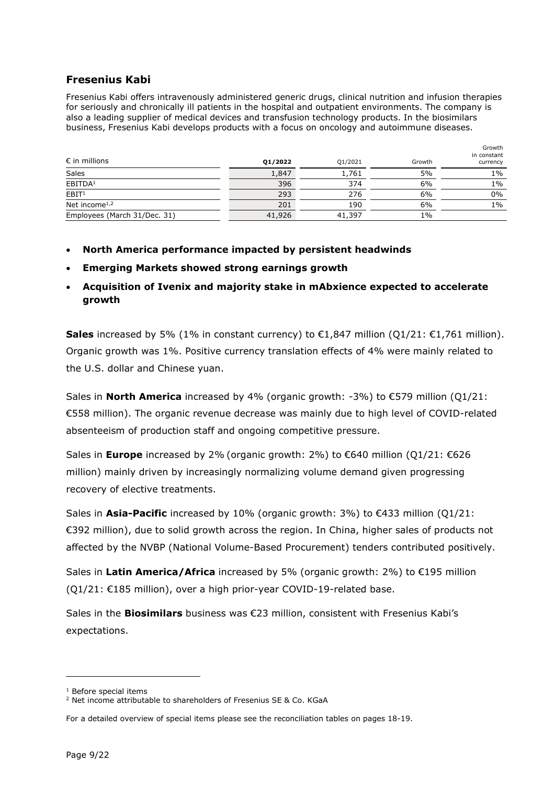### **Fresenius Kabi**

Fresenius Kabi offers intravenously administered generic drugs, clinical nutrition and infusion therapies for seriously and chronically ill patients in the hospital and outpatient environments. The company is also a leading supplier of medical devices and transfusion technology products. In the biosimilars business, Fresenius Kabi develops products with a focus on oncology and autoimmune diseases.

| $\epsilon$ in millions       | 01/2022 | Q1/2021 | Growth | Growth<br>in constant<br>currency |
|------------------------------|---------|---------|--------|-----------------------------------|
| Sales                        | 1,847   | 1,761   | 5%     | $1\%$                             |
| EBITDA <sup>1</sup>          | 396     | 374     | 6%     | $1\%$                             |
| $\overline{EBIT}$            | 293     | 276     | 6%     | $0\%$                             |
| Net income $1,2$             | 201     | 190     | 6%     | $1\%$                             |
| Employees (March 31/Dec. 31) | 41,926  | 41,397  | 1%     |                                   |

- **North America performance impacted by persistent headwinds**
- **Emerging Markets showed strong earnings growth**
- **Acquisition of Ivenix and majority stake in mAbxience expected to accelerate growth**

**Sales** increased by 5% (1% in constant currency) to €1,847 million (O1/21: €1,761 million). Organic growth was 1%. Positive currency translation effects of 4% were mainly related to the U.S. dollar and Chinese yuan.

Sales in **North America** increased by 4% (organic growth: -3%) to €579 million (Q1/21: €558 million). The organic revenue decrease was mainly due to high level of COVID-related absenteeism of production staff and ongoing competitive pressure.

Sales in **Europe** increased by 2% (organic growth: 2%) to €640 million (Q1/21: €626 million) mainly driven by increasingly normalizing volume demand given progressing recovery of elective treatments.

Sales in **Asia-Pacific** increased by 10% (organic growth: 3%) to €433 million (Q1/21: €392 million), due to solid growth across the region. In China, higher sales of products not affected by the NVBP (National Volume-Based Procurement) tenders contributed positively.

Sales in **Latin America/Africa** increased by 5% (organic growth: 2%) to €195 million (Q1/21: €185 million), over a high prior-year COVID-19-related base.

Sales in the **Biosimilars** business was €23 million, consistent with Fresenius Kabi's expectations.

<sup>1</sup> Before special items

<span id="page-8-1"></span><span id="page-8-0"></span><sup>&</sup>lt;sup>2</sup> Net income attributable to shareholders of Fresenius SE & Co. KGaA

For a detailed overview of special items please see the reconciliation tables on pages 18-19.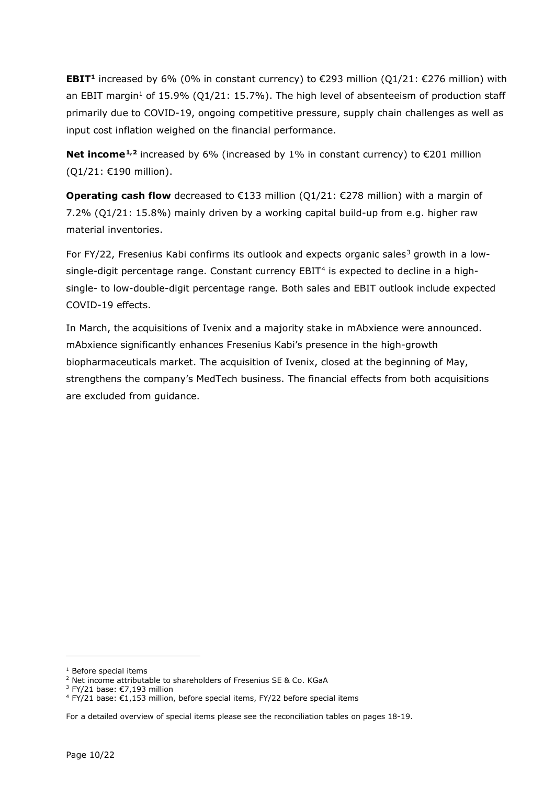**EBIT<sup>1</sup>** increased by 6% (0% in constant currency) to €293 million (O1/21: €276 million) with an EBIT margin<sup>1</sup> of 15.9% (Q1/21: 15.7%). The high level of absenteeism of production staff primarily due to COVID-19, ongoing competitive pressure, supply chain challenges as well as input cost inflation weighed on the financial performance.

**Net income**<sup>[1,](#page-9-0)[2](#page-9-1)</sup> increased by 6% (increased by 1% in constant currency) to  $\epsilon$ 201 million (Q1/21: €190 million).

**Operating cash flow** decreased to €133 million (Q1/21: €278 million) with a margin of 7.2% (Q1/21: 15.8%) mainly driven by a working capital build-up from e.g. higher raw material inventories.

For FY/22, Fresenius Kabi confirms its outlook and expects organic sales<sup>[3](#page-9-2)</sup> growth in a low-single-digit percentage range. Constant currency EBIT<sup>[4](#page-9-3)</sup> is expected to decline in a highsingle- to low-double-digit percentage range. Both sales and EBIT outlook include expected COVID-19 effects.

In March, the acquisitions of Ivenix and a majority stake in mAbxience were announced. mAbxience significantly enhances Fresenius Kabi's presence in the high-growth biopharmaceuticals market. The acquisition of Ivenix, closed at the beginning of May, strengthens the company's MedTech business. The financial effects from both acquisitions are excluded from guidance.

<sup>1</sup> Before special items

<span id="page-9-1"></span><span id="page-9-0"></span><sup>&</sup>lt;sup>2</sup> Net income attributable to shareholders of Fresenius SE & Co. KGaA

<sup>3</sup> FY/21 base: €7,193 million

<span id="page-9-3"></span><span id="page-9-2"></span><sup>4</sup> FY/21 base: €1,153 million, before special items, FY/22 before special items

For a detailed overview of special items please see the reconciliation tables on pages 18-19.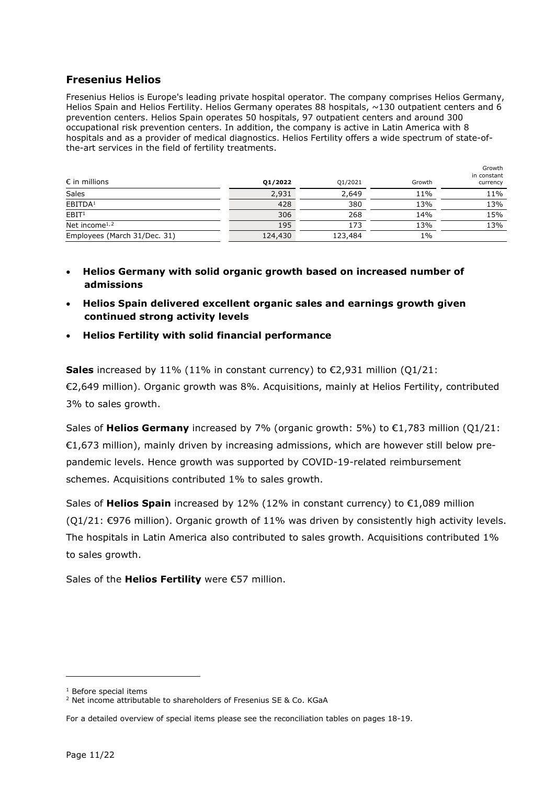#### **Fresenius Helios**

Fresenius Helios is Europe's leading private hospital operator. The company comprises Helios Germany, Helios Spain and Helios Fertility. Helios Germany operates 88 hospitals,  $\sim$ 130 outpatient centers and 6 prevention centers. Helios Spain operates 50 hospitals, 97 outpatient centers and around 300 occupational risk prevention centers. In addition, the company is active in Latin America with 8 hospitals and as a provider of medical diagnostics. Helios Fertility offers a wide spectrum of state-ofthe-art services in the field of fertility treatments.

| $\epsilon$ in millions                 | Q1/2022 | Q1/2021 | Growth | Growth<br>in constant<br>currency |
|----------------------------------------|---------|---------|--------|-----------------------------------|
| Sales                                  | 2,931   | 2,649   | 11%    | 11%                               |
| EBITDA <sup>1</sup>                    | 428     | 380     | 13%    | 13%                               |
| EBIT <sup>1</sup>                      | 306     | 268     | 14%    | 15%                               |
| Net income <sup><math>1,2</math></sup> | 195     | 173     | 13%    | 13%                               |
| Employees (March 31/Dec. 31)           | 124,430 | 123,484 | $1\%$  |                                   |

- **Helios Germany with solid organic growth based on increased number of admissions**
- **Helios Spain delivered excellent organic sales and earnings growth given continued strong activity levels**
- **Helios Fertility with solid financial performance**

**Sales** increased by 11% (11% in constant currency) to €2,931 million (Q1/21: €2,649 million). Organic growth was 8%. Acquisitions, mainly at Helios Fertility, contributed 3% to sales growth.

Sales of **Helios Germany** increased by 7% (organic growth: 5%) to €1,783 million (Q1/21: €1,673 million), mainly driven by increasing admissions, which are however still below prepandemic levels. Hence growth was supported by COVID-19-related reimbursement schemes. Acquisitions contributed 1% to sales growth.

Sales of **Helios Spain** increased by 12% (12% in constant currency) to €1,089 million  $(Q1/21: \text{\textsterling}976$  million). Organic growth of 11% was driven by consistently high activity levels. The hospitals in Latin America also contributed to sales growth. Acquisitions contributed 1% to sales growth.

Sales of the **Helios Fertility** were €57 million.

<sup>1</sup> Before special items

<span id="page-10-1"></span><span id="page-10-0"></span><sup>&</sup>lt;sup>2</sup> Net income attributable to shareholders of Fresenius SE & Co. KGaA

For a detailed overview of special items please see the reconciliation tables on pages 18-19.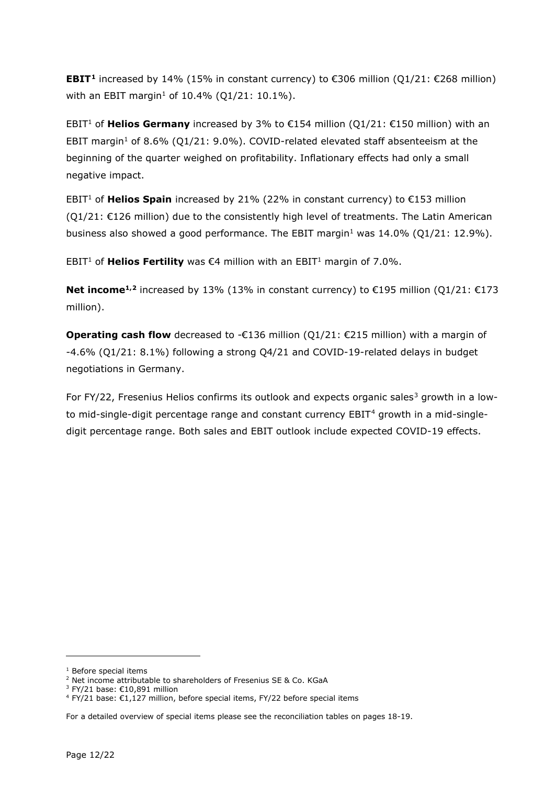**EBIT<sup>[1](#page-11-0)</sup>** increased by 14% (15% in constant currency) to €306 million (O1/21: €268 million) with an EBIT margin<sup>1</sup> of 10.4% (Q1/21: 10.1%).

EBIT<sup>1</sup> of **Helios Germany** increased by 3% to €154 million (Q1/21: €150 million) with an EBIT margin<sup>1</sup> of 8.6% (O1/21: 9.0%). COVID-related elevated staff absenteeism at the beginning of the quarter weighed on profitability. Inflationary effects had only a small negative impact.

EBIT<sup>1</sup> of **Helios Spain** increased by 21% (22% in constant currency) to  $\epsilon$ 153 million  $(Q1/21: E126$  million) due to the consistently high level of treatments. The Latin American business also showed a good performance. The EBIT margin<sup>1</sup> was  $14.0\%$  (Q1/21: 12.9%).

EBIT<sup>1</sup> of **Helios Fertility** was €4 million with an EBIT<sup>1</sup> margin of 7.0%.

**Net income<sup>1,[2](#page-11-1)</sup>** increased by 13% (13% in constant currency) to €195 million (Q1/21: €173 million).

**Operating cash flow** decreased to -€136 million (Q1/21: €215 million) with a margin of -4.6% (Q1/21: 8.1%) following a strong Q4/21 and COVID-19-related delays in budget negotiations in Germany.

For FY/22, Fresenius Helios confirms its outlook and expects organic sales<sup>[3](#page-11-2)</sup> growth in a low-to mid-single-digit percentage range and constant currency EBIT<sup>[4](#page-11-3)</sup> growth in a mid-singledigit percentage range. Both sales and EBIT outlook include expected COVID-19 effects.

<sup>1</sup> Before special items

<span id="page-11-1"></span><span id="page-11-0"></span><sup>&</sup>lt;sup>2</sup> Net income attributable to shareholders of Fresenius SE & Co. KGaA

<sup>3</sup> FY/21 base: €10,891 million

<span id="page-11-3"></span><span id="page-11-2"></span><sup>4</sup> FY/21 base: €1,127 million, before special items, FY/22 before special items

For a detailed overview of special items please see the reconciliation tables on pages 18-19.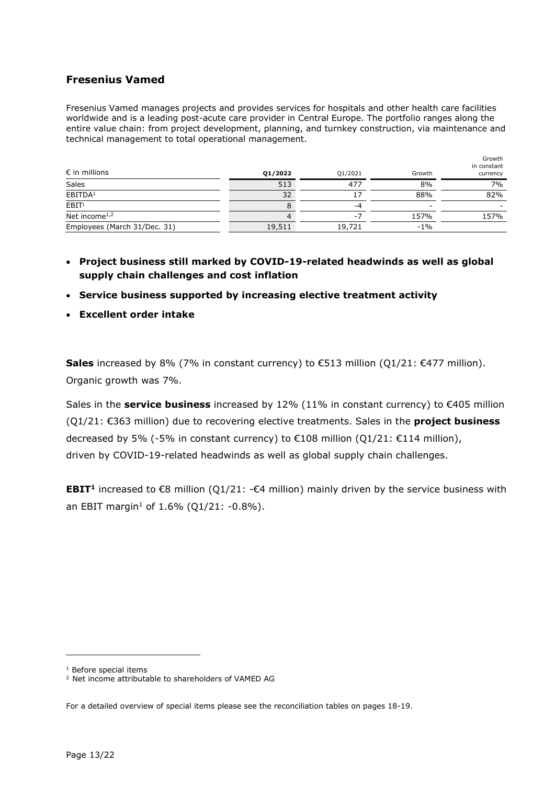### **Fresenius Vamed**

Fresenius Vamed manages projects and provides services for hospitals and other health care facilities worldwide and is a leading post-acute care provider in Central Europe. The portfolio ranges along the entire value chain: from project development, planning, and turnkey construction, via maintenance and technical management to total operational management.

| $\epsilon$ in millions                 | Q1/2022 | Q1/2021 | Growth | Growth<br>in constant<br>currency |
|----------------------------------------|---------|---------|--------|-----------------------------------|
| Sales                                  | 513     | 477     | 8%     | 7%                                |
| EBITDA <sup>1</sup>                    | 32      |         | 88%    | 82%                               |
| EBIT <sup>1</sup>                      |         | -4      |        |                                   |
| Net income <sup><math>1,2</math></sup> |         |         | 157%   | 157%                              |
| Employees (March 31/Dec. 31)           | 19,511  | 19,721  | $-1%$  |                                   |

- **Project business still marked by COVID-19-related headwinds as well as global supply chain challenges and cost inflation**
- **Service business supported by increasing elective treatment activity**
- **Excellent order intake**

**Sales** increased by 8% (7% in constant currency) to €513 million (Q1/21: €477 million). Organic growth was 7%.

Sales in the **service business** increased by 12% (11% in constant currency) to €405 million (Q1/21: €363 million) due to recovering elective treatments. Sales in the **project business** decreased by 5% (-5% in constant currency) to €108 million (Q1/21: €114 million), driven by COVID-19-related headwinds as well as global supply chain challenges.

**EBIT<sup>1</sup>** increased to  $\epsilon$ 8 million (O1/21:  $-\epsilon$ 4 million) mainly driven by the service business with an EBIT margin<sup>1</sup> of 1.6% (Q1/21:  $-0.8$ %).

<sup>1</sup> Before special items

<span id="page-12-1"></span><span id="page-12-0"></span><sup>2</sup> Net income attributable to shareholders of VAMED AG

For a detailed overview of special items please see the reconciliation tables on pages 18-19.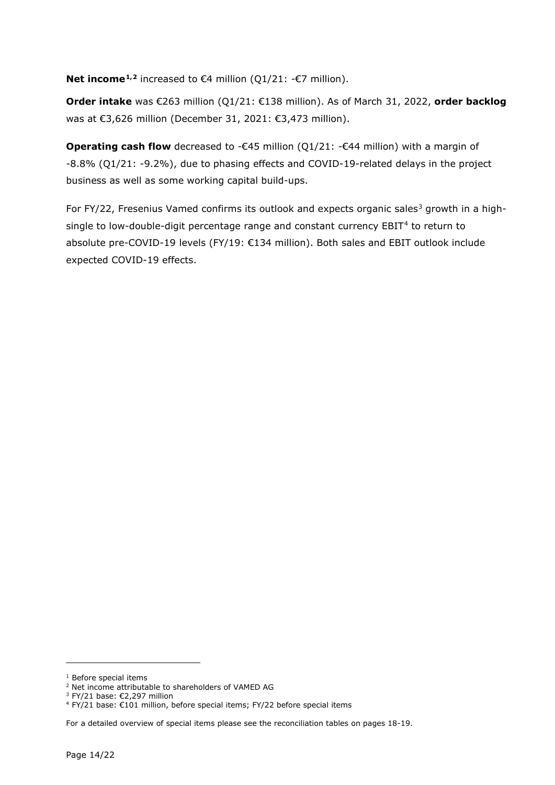**Net income<sup>[1,](#page-13-0)[2](#page-13-1)</sup>** increased to €4 million (Q1/21:  $-€7$  million).

**Order intake** was €263 million (Q1/21: €138 million). As of March 31, 2022, **order backlog** was at €3,626 million (December 31, 2021: €3,473 million).

**Operating cash flow** decreased to - $\epsilon$ 45 million (Q1/21:  $-\epsilon$ 44 million) with a margin of -8.8% (Q1/21: -9.2%), due to phasing effects and COVID-19-related delays in the project business as well as some working capital build-ups.

For FY/22, Fresenius Vamed confirms its outlook and expects organic sales<sup>[3](#page-13-2)</sup> growth in a high-single to low-double-digit percentage range and constant currency EBIT<sup>[4](#page-13-3)</sup> to return to absolute pre-COVID-19 levels (FY/19: €134 million). Both sales and EBIT outlook include expected COVID-19 effects.

<span id="page-13-0"></span><sup>&</sup>lt;sup>1</sup> Before special items

<span id="page-13-2"></span><span id="page-13-1"></span><sup>2</sup> Net income attributable to shareholders of VAMED AG

<sup>3</sup> FY/21 base: €2,297 million

<span id="page-13-3"></span><sup>4</sup> FY/21 base: €101 million, before special items; FY/22 before special items

For a detailed overview of special items please see the reconciliation tables on pages 18-19.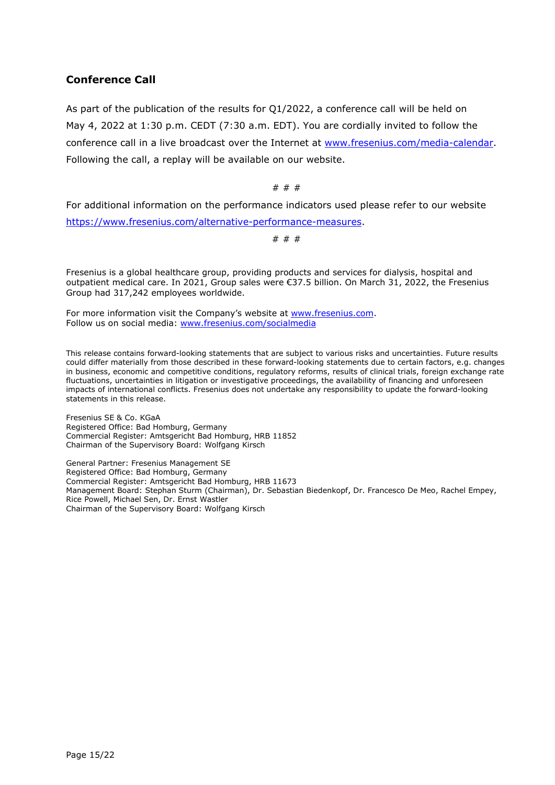### **Conference Call**

As part of the publication of the results for Q1/2022, a conference call will be held on May 4, 2022 at 1:30 p.m. CEDT (7:30 a.m. EDT). You are cordially invited to follow the conference call in a live broadcast over the Internet at [www.fresenius.com/media-calendar.](http://www.fresenius.com/media-calendar) Following the call, a replay will be available on our website.

# # #

For additional information on the performance indicators used please refer to our website [https://www.fresenius.com/alternative-performance-measures.](https://www.fresenius.com/alternative-performance-measures)

# # #

Fresenius is a global healthcare group, providing products and services for dialysis, hospital and outpatient medical care. In 2021, Group sales were €37.5 billion. On March 31, 2022, the Fresenius Group had 317,242 employees worldwide.

For more information visit the Company's website at [www.fresenius.com.](http://www.fresenius.com/) Follow us on social media: [www.fresenius.com/socialmedia](http://www.fresenius.com/socialmedia)

This release contains forward-looking statements that are subject to various risks and uncertainties. Future results could differ materially from those described in these forward-looking statements due to certain factors, e.g. changes in business, economic and competitive conditions, regulatory reforms, results of clinical trials, foreign exchange rate fluctuations, uncertainties in litigation or investigative proceedings, the availability of financing and unforeseen impacts of international conflicts. Fresenius does not undertake any responsibility to update the forward-looking statements in this release.

Fresenius SE & Co. KGaA Registered Office: Bad Homburg, Germany Commercial Register: Amtsgericht Bad Homburg, HRB 11852 Chairman of the Supervisory Board: Wolfgang Kirsch

General Partner: Fresenius Management SE Registered Office: Bad Homburg, Germany Commercial Register: Amtsgericht Bad Homburg, HRB 11673 Management Board: Stephan Sturm (Chairman), Dr. Sebastian Biedenkopf, Dr. Francesco De Meo, Rachel Empey, Rice Powell, Michael Sen, Dr. Ernst Wastler Chairman of the Supervisory Board: Wolfgang Kirsch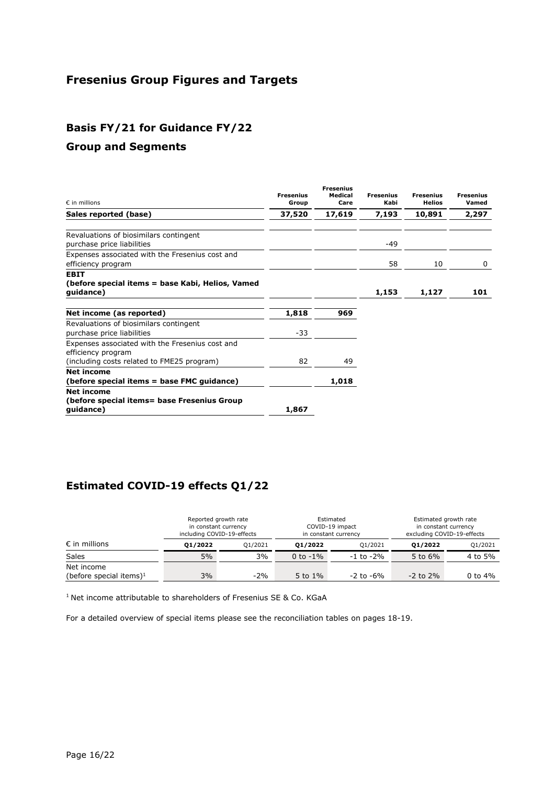# **Fresenius Group Figures and Targets**

## **Basis FY/21 for Guidance FY/22**

### **Group and Segments**

| $\epsilon$ in millions                                                                                              | <b>Fresenius</b><br>Group | <b>Fresenius</b><br>Medical<br>Care | <b>Fresenius</b><br>Kabi | <b>Fresenius</b><br><b>Helios</b> | <b>Fresenius</b><br>Vamed |
|---------------------------------------------------------------------------------------------------------------------|---------------------------|-------------------------------------|--------------------------|-----------------------------------|---------------------------|
| Sales reported (base)                                                                                               | 37,520                    | 17,619                              | 7,193                    | 10,891                            | 2,297                     |
| Revaluations of biosimilars contingent<br>purchase price liabilities                                                |                           |                                     | $-49$                    |                                   |                           |
| Expenses associated with the Fresenius cost and<br>efficiency program                                               |                           |                                     | 58                       | 10                                | 0                         |
| <b>EBIT</b><br>(before special items = base Kabi, Helios, Vamed<br>guidance)                                        |                           |                                     | 1,153                    | 1,127                             | 101                       |
| Net income (as reported)                                                                                            | 1,818                     | 969                                 |                          |                                   |                           |
| Revaluations of biosimilars contingent<br>purchase price liabilities                                                | $-33$                     |                                     |                          |                                   |                           |
| Expenses associated with the Fresenius cost and<br>efficiency program<br>(including costs related to FME25 program) | 82                        | 49                                  |                          |                                   |                           |
| <b>Net income</b><br>(before special items = base FMC guidance)                                                     |                           | 1,018                               |                          |                                   |                           |
| <b>Net income</b><br>(before special items= base Fresenius Group<br>quidance)                                       | 1,867                     |                                     |                          |                                   |                           |

## **Estimated COVID-19 effects Q1/22**

|                            | Reported growth rate<br>in constant currency<br>including COVID-19-effects |         | Estimated<br>COVID-19 impact<br>in constant currency |                |               | Estimated growth rate<br>in constant currency<br>excluding COVID-19-effects |
|----------------------------|----------------------------------------------------------------------------|---------|------------------------------------------------------|----------------|---------------|-----------------------------------------------------------------------------|
| $\epsilon$ in millions     | 01/2022                                                                    | 01/2021 | 01/2022                                              | 01/2021        | 01/2022       | Q1/2021                                                                     |
| <b>Sales</b>               | 5%                                                                         | 3%      | 0 to $-1\%$                                          | $-1$ to $-2\%$ | 5 to 6%       | 4 to 5%                                                                     |
| Net income                 |                                                                            |         |                                                      |                |               |                                                                             |
| (before special items) $1$ | 3%                                                                         | $-2%$   | 5 to $1\%$                                           | $-2$ to $-6\%$ | $-2$ to $2\%$ | 0 to $4%$                                                                   |

<sup>1</sup> Net income attributable to shareholders of Fresenius SE & Co. KGaA

For a detailed overview of special items please see the reconciliation tables on pages 18-19.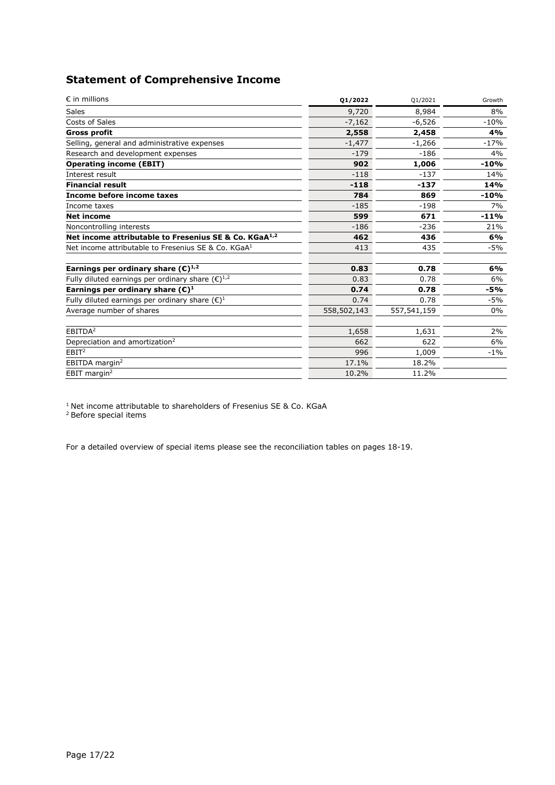## **Statement of Comprehensive Income**

| $\epsilon$ in millions                                            | 01/2022     | Q1/2021     | Growth |
|-------------------------------------------------------------------|-------------|-------------|--------|
| <b>Sales</b>                                                      | 9,720       | 8,984       | 8%     |
| Costs of Sales                                                    | $-7,162$    | $-6,526$    | $-10%$ |
| <b>Gross profit</b>                                               | 2,558       | 2,458       | 4%     |
| Selling, general and administrative expenses                      | $-1,477$    | $-1,266$    | $-17%$ |
| Research and development expenses                                 | $-179$      | $-186$      | 4%     |
| <b>Operating income (EBIT)</b>                                    | 902         | 1,006       | $-10%$ |
| Interest result                                                   | $-118$      | $-137$      | 14%    |
| <b>Financial result</b>                                           | $-118$      | $-137$      | 14%    |
| Income before income taxes                                        | 784         | 869         | $-10%$ |
| Income taxes                                                      | $-185$      | $-198$      | 7%     |
| <b>Net income</b>                                                 | 599         | 671         | $-11%$ |
| Noncontrolling interests                                          | $-186$      | $-236$      | 21%    |
| Net income attributable to Fresenius SE & Co. KGaA <sup>1,2</sup> | 462         | 436         | 6%     |
| Net income attributable to Fresenius SE & Co. KGaA <sup>1</sup>   | 413         | 435         | $-5%$  |
| Earnings per ordinary share $(\mathbb{C})^{1,2}$                  | 0.83        | 0.78        | 6%     |
| Fully diluted earnings per ordinary share $(\epsilon)^{1,2}$      | 0.83        | 0.78        | 6%     |
| Earnings per ordinary share $(\mathbb{C})^1$                      | 0.74        | 0.78        | -5%    |
| Fully diluted earnings per ordinary share $(\epsilon)^1$          | 0.74        | 0.78        | $-5%$  |
| Average number of shares                                          | 558,502,143 | 557,541,159 | $0\%$  |
| EBITDA <sup>2</sup>                                               | 1,658       | 1,631       | 2%     |
| Depreciation and amortization <sup>2</sup>                        | 662         | 622         | 6%     |
| EBIT <sup>2</sup>                                                 | 996         | 1,009       | $-1%$  |
| EBITDA margin <sup>2</sup>                                        | 17.1%       | 18.2%       |        |
| EBIT margin <sup>2</sup>                                          | 10.2%       | 11.2%       |        |

 $1$  Net income attributable to shareholders of Fresenius SE & Co. KGaA

2 Before special items

For a detailed overview of special items please see the reconciliation tables on pages 18-19.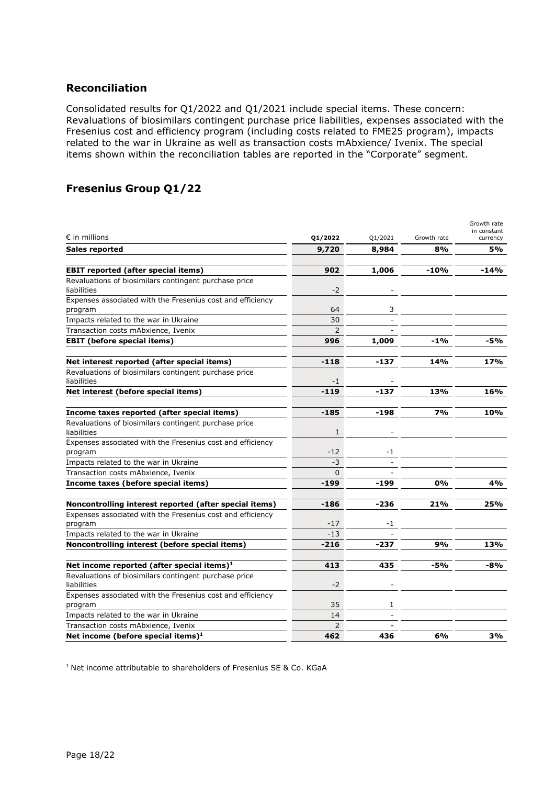#### **Reconciliation**

Consolidated results for Q1/2022 and Q1/2021 include special items. These concern: Revaluations of biosimilars contingent purchase price liabilities, expenses associated with the Fresenius cost and efficiency program (including costs related to FME25 program), impacts related to the war in Ukraine as well as transaction costs mAbxience/ Ivenix. The special items shown within the reconciliation tables are reported in the "Corporate" segment.

## **Fresenius Group Q1/22**

| $\epsilon$ in millions                                                | Q1/2022  | Q1/2021 | Growth rate | Growth rate<br>in constant<br>currency |
|-----------------------------------------------------------------------|----------|---------|-------------|----------------------------------------|
| Sales reported                                                        | 9,720    | 8,984   | 8%          | 5%                                     |
|                                                                       |          |         |             |                                        |
| <b>EBIT reported (after special items)</b>                            | 902      | 1,006   | $-10%$      | $-14%$                                 |
| Revaluations of biosimilars contingent purchase price<br>liabilities  | -2       |         |             |                                        |
| Expenses associated with the Fresenius cost and efficiency            |          |         |             |                                        |
| program                                                               | 64       | 3       |             |                                        |
| Impacts related to the war in Ukraine                                 | 30       |         |             |                                        |
| Transaction costs mAbxience, Ivenix                                   |          |         |             |                                        |
| <b>EBIT</b> (before special items)                                    | 996      | 1,009   | $-1%$       | -5%                                    |
| Net interest reported (after special items)                           | $-118$   | $-137$  | 14%         | 17%                                    |
| Revaluations of biosimilars contingent purchase price<br>liabilities  | -1       |         |             |                                        |
| Net interest (before special items)                                   | $-119$   | $-137$  | 13%         | 16%                                    |
| Income taxes reported (after special items)                           | $-185$   | $-198$  | 7%          | 10%                                    |
| Revaluations of biosimilars contingent purchase price                 |          |         |             |                                        |
| liabilities                                                           | 1        |         |             |                                        |
| Expenses associated with the Fresenius cost and efficiency            |          |         |             |                                        |
| program                                                               | -12      | -1      |             |                                        |
| Impacts related to the war in Ukraine                                 | $-3$     |         |             |                                        |
| Transaction costs mAbxience, Ivenix                                   | $\Omega$ |         |             |                                        |
| Income taxes (before special items)                                   | $-199$   | -199    | 0%          | 4%                                     |
| Noncontrolling interest reported (after special items)                | $-186$   | $-236$  | 21%         | 25%                                    |
| Expenses associated with the Fresenius cost and efficiency            |          |         |             |                                        |
| program                                                               | -17      | -1      |             |                                        |
| Impacts related to the war in Ukraine                                 | $-13$    |         |             |                                        |
| Noncontrolling interest (before special items)                        | $-216$   | $-237$  | 9%          | 13%                                    |
| Net income reported (after special items) <sup>1</sup>                | 413      | 435     | -5%         | -8%                                    |
| Revaluations of biosimilars contingent purchase price<br>liabilities  | -2       |         |             |                                        |
| Expenses associated with the Fresenius cost and efficiency<br>program | 35       | 1       |             |                                        |
| Impacts related to the war in Ukraine                                 | 14       |         |             |                                        |
| Transaction costs mAbxience, Ivenix                                   | 2        |         |             |                                        |
| Net income (before special items) <sup>1</sup>                        | 462      | 436     | 6%          | 3%                                     |

<sup>1</sup> Net income attributable to shareholders of Fresenius SE & Co. KGaA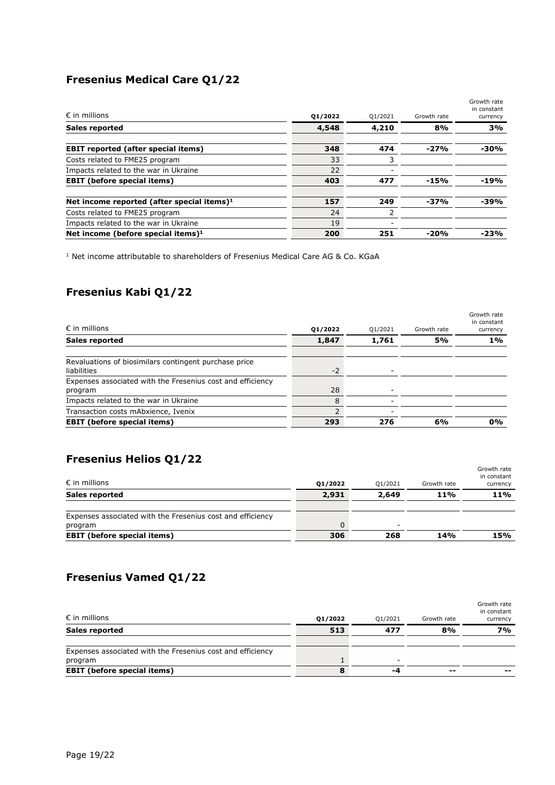# **Fresenius Medical Care Q1/22**

| $\epsilon$ in millions                        | 01/2022 | Q1/2021 | Growth rate | Growth rate<br>in constant<br>currency |
|-----------------------------------------------|---------|---------|-------------|----------------------------------------|
| <b>Sales reported</b>                         | 4,548   | 4,210   | 8%          | 3%                                     |
| <b>EBIT reported (after special items)</b>    | 348     | 474     | $-27%$      | -30%                                   |
| Costs related to FME25 program                | 33      | 3       |             |                                        |
| Impacts related to the war in Ukraine         | 22      |         |             |                                        |
| <b>EBIT</b> (before special items)            | 403     | 477     | $-15%$      | $-19%$                                 |
| Net income reported (after special items) $1$ | 157     | 249     | -37%        | -39%                                   |
| Costs related to FME25 program                | 24      | 2       |             |                                        |
| Impacts related to the war in Ukraine         | 19      |         |             |                                        |
| Net income (before special items) $1$         | 200     | 251     | $-20%$      | $-23%$                                 |

 $1$  Net income attributable to shareholders of Fresenius Medical Care AG & Co. KGaA

# **Fresenius Kabi Q1/22**

| $\epsilon$ in millions                                               | 01/2022 | Q1/2021 | Growth rate | Growth rate<br>in constant<br>currency |
|----------------------------------------------------------------------|---------|---------|-------------|----------------------------------------|
| Sales reported                                                       | 1,847   | 1,761   | 5%          | $1\%$                                  |
| Revaluations of biosimilars contingent purchase price<br>liabilities | $-2$    |         |             |                                        |
| Expenses associated with the Fresenius cost and efficiency           |         |         |             |                                        |
| program                                                              | 28      |         |             |                                        |
| Impacts related to the war in Ukraine                                | 8       |         |             |                                        |
| Transaction costs mAbxience, Ivenix                                  |         |         |             |                                        |
| <b>EBIT</b> (before special items)                                   | 293     | 276     | 6%          | 0%                                     |

# **Fresenius Helios Q1/22**

| <b>EBIT</b> (before special items)                         | 306     | 268                      | 14%         | 15%                                    |
|------------------------------------------------------------|---------|--------------------------|-------------|----------------------------------------|
| program                                                    | 0       | $\overline{\phantom{a}}$ |             |                                        |
| Expenses associated with the Fresenius cost and efficiency |         |                          |             |                                        |
| <b>Sales reported</b>                                      | 2,931   | 2,649                    | 11%         | <b>11%</b>                             |
| $\epsilon$ in millions                                     | 01/2022 | 01/2021                  | Growth rate | Growth rate<br>in constant<br>currency |

## **Fresenius Vamed Q1/22**

| $\epsilon$ in millions                                     | 01/2022 | 01/2021 | Growth rate | Growth rate<br>in constant<br>currency |
|------------------------------------------------------------|---------|---------|-------------|----------------------------------------|
| <b>Sales reported</b>                                      | 513     | 477     | 8%          | <b>7%</b>                              |
| Expenses associated with the Fresenius cost and efficiency |         |         |             |                                        |
| program                                                    |         |         |             |                                        |
| <b>EBIT</b> (before special items)                         | 8       | -4      | --          | --                                     |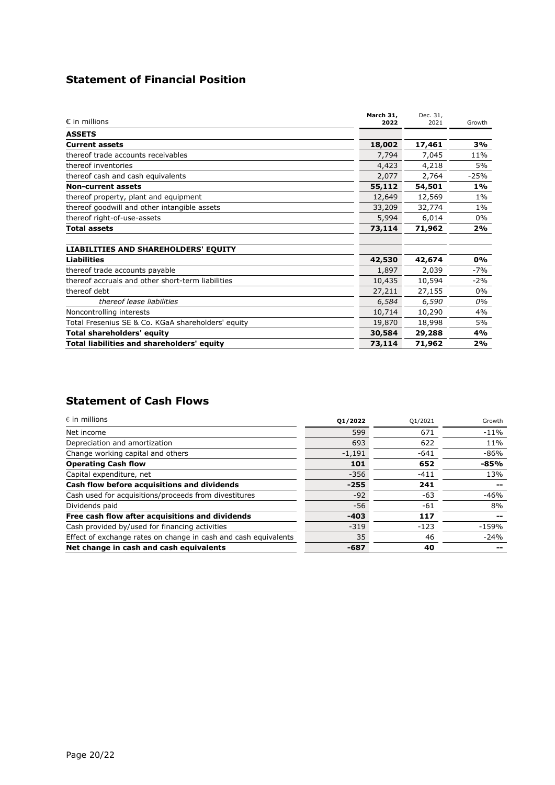## **Statement of Financial Position**

| $\epsilon$ in millions                             | March 31,<br>2022 | Dec. 31,<br>2021 | Growth |
|----------------------------------------------------|-------------------|------------------|--------|
| <b>ASSETS</b>                                      |                   |                  |        |
| <b>Current assets</b>                              | 18,002            | 17,461           | 3%     |
| thereof trade accounts receivables                 | 7,794             | 7,045            | 11%    |
| thereof inventories                                | 4,423             | 4,218            | 5%     |
| thereof cash and cash equivalents                  | 2,077             | 2,764            | $-25%$ |
| <b>Non-current assets</b>                          | 55,112            | 54,501           | $1\%$  |
| thereof property, plant and equipment              | 12,649            | 12,569           | $1\%$  |
| thereof goodwill and other intangible assets       | 33,209            | 32,774           | $1\%$  |
| thereof right-of-use-assets                        | 5,994             | 6,014            | $0\%$  |
| <b>Total assets</b>                                | 73,114            | 71,962           | 2%     |
| <b>LIABILITIES AND SHAREHOLDERS' EQUITY</b>        |                   |                  |        |
| <b>Liabilities</b>                                 | 42,530            | 42,674           | 0%     |
| thereof trade accounts payable                     | 1,897             | 2,039            | $-7%$  |
| thereof accruals and other short-term liabilities  | 10,435            | 10,594           | $-2%$  |
| thereof debt                                       | 27,211            | 27,155           | $0\%$  |
| thereof lease liabilities                          | 6,584             | 6,590            | 0%     |
| Noncontrolling interests                           | 10,714            | 10,290           | 4%     |
| Total Fresenius SE & Co. KGaA shareholders' equity | 19,870            | 18,998           | 5%     |
| <b>Total shareholders' equity</b>                  | 30,584            | 29,288           | 4%     |
| Total liabilities and shareholders' equity         | 73,114            | 71,962           | 2%     |

## **Statement of Cash Flows**

| $\epsilon$ in millions                                          | 01/2022  | Q1/2021 | Growth  |
|-----------------------------------------------------------------|----------|---------|---------|
| Net income                                                      | 599      | 671     | $-11%$  |
| Depreciation and amortization                                   | 693      | 622     | 11%     |
| Change working capital and others                               | $-1,191$ | $-641$  | $-86%$  |
| <b>Operating Cash flow</b>                                      | 101      | 652     | -85%    |
| Capital expenditure, net                                        | $-356$   | $-411$  | 13%     |
| Cash flow before acquisitions and dividends                     | $-255$   | 241     |         |
| Cash used for acquisitions/proceeds from divestitures           | $-92$    | $-63$   | $-46%$  |
| Dividends paid                                                  | $-56$    | -61     | 8%      |
| Free cash flow after acquisitions and dividends                 | $-403$   | 117     | --      |
| Cash provided by/used for financing activities                  | $-319$   | $-123$  | $-159%$ |
| Effect of exchange rates on change in cash and cash equivalents | 35       | 46      | $-24%$  |
| Net change in cash and cash equivalents                         | $-687$   | 40      |         |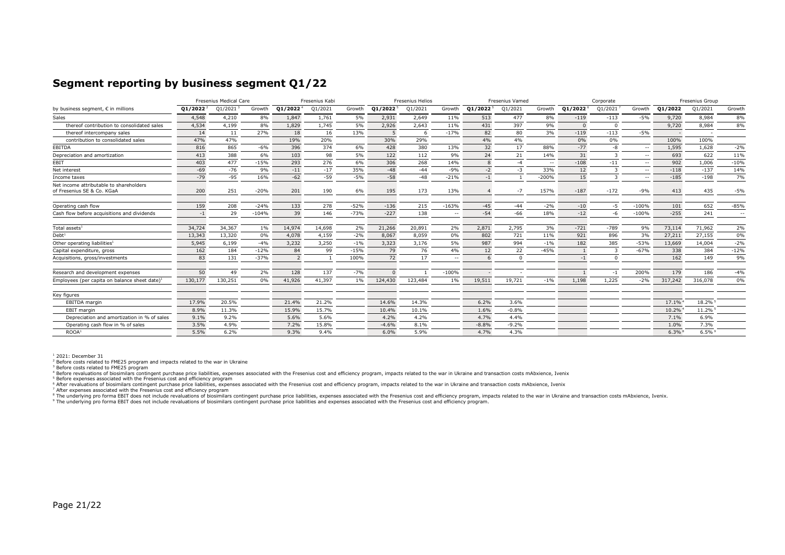#### **Segment reporting by business segment Q1/22**

|                                                                       | Fresenius Medical Care<br>Fresenius Kabi |         |         |                      | <b>Fresenius Helios</b> |        |                      | <b>Fresenius Vamed</b> |               |                      | Corporate  |         |                      | Fresenius Group |               |         |         |               |
|-----------------------------------------------------------------------|------------------------------------------|---------|---------|----------------------|-------------------------|--------|----------------------|------------------------|---------------|----------------------|------------|---------|----------------------|-----------------|---------------|---------|---------|---------------|
| by business seqment, € in millions                                    | $Q1/2022^2$                              | Q1/2021 | Growth  | Q1/2022 <sup>4</sup> | Q1/2021                 | Growth | Q1/2022 <sup>5</sup> | Q1/2021                | Growth        | Q1/2022 <sup>5</sup> | Q1/2021    | Growth  | Q1/2022 <sup>6</sup> | Q1/2021         | Growth        | 01/2022 | Q1/2021 | Growth        |
| Sales                                                                 | 4,548                                    | 4,210   | 8%      | 1,847                | 1,761                   | 5%     | 2,931                | 2,649                  | 11%           | 513                  | 477        | 8%      | $-119$               | $-113$          | $-5%$         | 9,720   | 8,984   | 8%            |
| thereof contribution to consolidated sales                            | 4,534                                    | 4,199   | 8%      | 1,829                | 1,745                   | 5%     | 2,926                | 2,643                  | 11%           | 431                  | 397        | 9%      |                      | $\Omega$        |               | 9,720   | 8,984   | 8%            |
| thereof intercompany sales                                            | 14                                       | 11      | 27%     | 18                   | 16                      | 13%    |                      |                        | $-17%$        | 82                   | 80         | 3%      | $-119$               | $-113$          | $-5%$         |         |         |               |
| contribution to consolidated sales                                    | 47%                                      | 47%     |         | 19%                  | 20%                     |        | 30%                  | 29%                    |               | 4%                   | 4%         |         | 0%                   | 0%              |               | 100%    | 100%    |               |
| EBITDA                                                                | 816                                      | 865     | $-6%$   | 396                  | 374                     | 6%     | 428                  | 380                    | 13%           | 32                   | 17         | 88%     | $-77$                | -8              | $\sim$        | 1,595   | 1,628   | $-2%$         |
| Depreciation and amortization                                         | 413                                      | 388     | 6%      | 103                  | 98                      | 5%     | 122                  | 112                    | 9%            | 24                   | 21         | 14%     | 31                   |                 | $\sim$ $\sim$ | 693     | 622     | 11%           |
| EBIT                                                                  | 403                                      | 477     | $-15%$  | 293                  | 276                     | 6%     | 306                  | 268                    | 14%           |                      | $-4$       | $-$     | $-108$               | $-11$           | $\sim$ $\sim$ | 902     | 1,006   | $-10%$        |
| Net interest                                                          | $-69$                                    | $-76$   | 9%      | $-11$                | $-17$                   | 35%    | $-48$                | $-44$                  | $-9%$         | $-2$                 | -3         | 33%     | 12                   |                 | $\sim$        | $-118$  | $-137$  | 14%           |
| Income taxes                                                          | $-79$                                    | $-95$   | 16%     | $-62$                | $-59$                   | $-5%$  | $-58$                | $-48$                  | $-21%$        | $-1$                 |            | $-200%$ | 15                   |                 | $\sim$ $\sim$ | $-185$  | $-198$  | 7%            |
| Net income attributable to shareholders<br>of Fresenius SE & Co. KGaA | 200                                      | 251     | $-20%$  | 201                  | 190                     | 6%     | 195                  | 173                    | 13%           |                      | $-7$       | 157%    | $-187$               | $-172$          | $-9%$         | 413     | 435     | $-5%$         |
| Operating cash flow                                                   | 159                                      | 208     | $-24%$  | 133                  | 278                     | $-52%$ | $-136$               | 215                    | $-163%$       | $-45$                | $-44$      | $-2%$   | $-10$                | $-5$            | $-100%$       | 101     | 652     | $-85%$        |
| Cash flow before acquisitions and dividends                           | $-1$                                     | 29      | $-104%$ | 39                   | 146                     | $-73%$ | $-227$               | 138                    | $\sim$ $\sim$ | $-54$                | $-66$      | 18%     | $-12$                | -6              | $-100%$       | $-255$  | 241     | $\sim$ $\sim$ |
| Total assets <sup>1</sup>                                             | 34,724                                   | 34,367  | 1%      | 14,974               | 14,698                  | 2%     | 21,266               | 20,891                 | 2%            | 2.871                | 2,795      | 3%      | $-721$               | $-789$          | 9%            | 73,114  | 71,962  | 2%            |
| Debt <sup>1</sup>                                                     | 13,343                                   | 13,320  | 0%      | 4,078                | 4,159                   | $-2%$  | 8,067                | 8,059                  | 0%            | 802                  | 721        | 11%     | 921                  | 896             | 3%            | 27,211  | 27,155  | 0%            |
| Other operating liabilities <sup>1</sup>                              | 5,945                                    | 6,199   | $-4%$   | 3,232                | 3,250                   | $-1%$  | 3,323                | 3,176                  | 5%            | 987                  | 994        | $-1%$   | 182                  | 385             | $-53%$        | 13,669  | 14,004  | $-2%$         |
| Capital expenditure, gross                                            | 162                                      | 184     | $-12%$  | 84                   | 99                      | $-15%$ | 79                   | 76                     | 4%            | 12                   | 22         | $-45%$  |                      |                 | $-67%$        | 338     | 384     | $-12%$        |
| Acquisitions, gross/investments                                       | 83                                       | 131     | $-37%$  | 2                    |                         | 100%   | 72                   | 17                     | $\sim$        | 6                    | $^{\circ}$ |         | $-1$                 | $\Omega$        |               | 162     | 149     | 9%            |
| Research and development expenses                                     | 50                                       | 49      | 2%      | 128                  | 137                     | $-7%$  |                      |                        | $-100%$       |                      |            |         |                      | $-1$            | 200%          | 179     | 186     | $-4%$         |
| Employees (per capita on balance sheet date) <sup>1</sup>             | 130,177                                  | 130,251 | 0%      | 41,926               | 41,397                  | $1\%$  | 124,430              | 123,484                | 1%            | 19,511               | 19,721     | $-1%$   | 1,198                | 1,225           | $-2%$         | 317,242 | 316,078 | 0%            |
| Key figures                                                           |                                          |         |         |                      |                         |        |                      |                        |               |                      |            |         |                      |                 |               |         |         |               |
| EBITDA margin                                                         | 17.9%                                    | 20.5%   |         | 21.4%                | 21.2%                   |        | 14.6%                | 14.3%                  |               | 6.2%                 | 3.6%       |         |                      |                 |               | 17.1%   | 18.2%   |               |
| <b>EBIT</b> margin                                                    | 8.9%                                     | 11.3%   |         | 15.9%                | 15.7%                   |        | 10.4%                | 10.1%                  |               | 1.6%                 | $-0.8%$    |         |                      |                 |               | 10.2%   | 11.2%   |               |
| Depreciation and amortization in % of sales                           | 9.1%                                     | 9.2%    |         | 5.6%                 | 5.6%                    |        | 4.2%                 | 4.2%                   |               | 4.7%                 | 4.4%       |         |                      |                 |               | 7.1%    | 6.9%    |               |
| Operating cash flow in % of sales                                     | 3.5%                                     | 4.9%    |         | 7.2%                 | 15.8%                   |        | $-4.6%$              | 8.1%                   |               | $-8.8%$              | $-9.2%$    |         |                      |                 |               | 1.0%    | 7.3%    |               |
| ROOA <sup>1</sup>                                                     | 5.5%                                     | 6.2%    |         | 9.3%                 | 9.4%                    |        | 6.0%                 | 5.9%                   |               | 4.7%                 | 4.3%       |         |                      |                 |               | $6.3\%$ | $6.5\%$ |               |

 $1$  2021: December 31

<sup>2</sup> Before costs related to FME25 program and impacts related to the war in Ukraine

<sup>3</sup> Before costs related to FME25 program

<sup>4</sup> Before revaluations of biosimilars contingent purchase price liabilities, expenses associated with the Fresenius cost and efficiency program, impacts related to the war in Ukraine and transaction costs mAbxience, Iveni

<sup>5</sup> Before expenses associated with the Fresenius cost and efficiency program

<sup>6</sup> After revaluations of biosimilars contingent purchase price liabilities, expenses associated with the Fresenius cost and efficiency program, impacts related to the war in Ukraine and transaction costs mAbxience, Ivenix

<sup>7</sup> After expenses associated with the Fresenius cost and efficiency program

<sup>8</sup> The underlying pro forma EBIT does not include revaluations of biosimilars contingent purchase price liabilities, expenses associated with the Fresenius cost and efficiency program, impacts related to the war in Ukrain

<sup>9</sup> The underlying pro forma EBIT does not include revaluations of biosimilars contingent purchase price liabilities and expenses associated with the Fresenius cost and efficiency program.